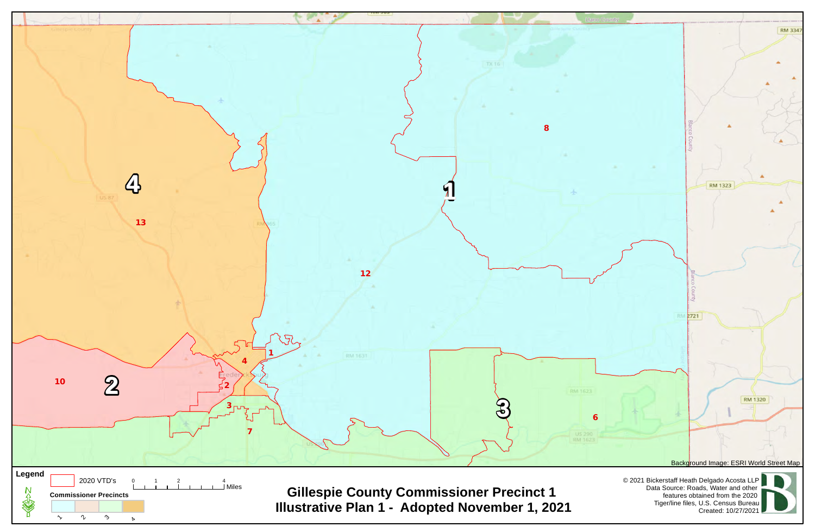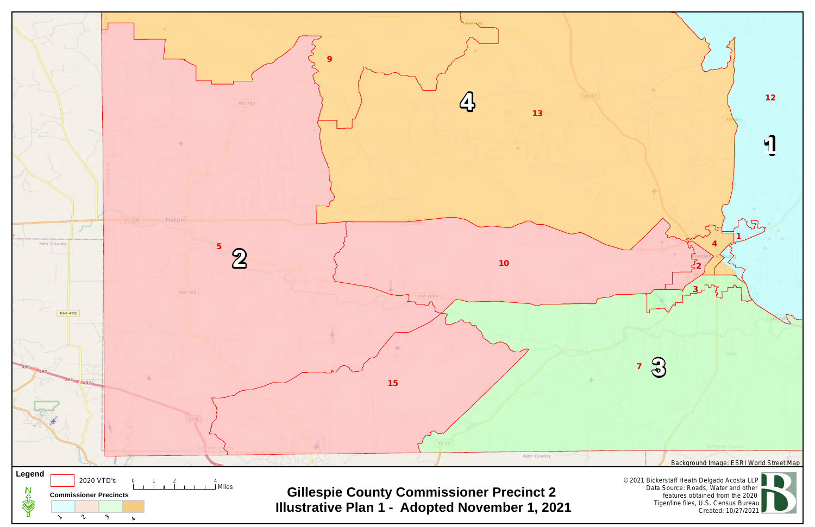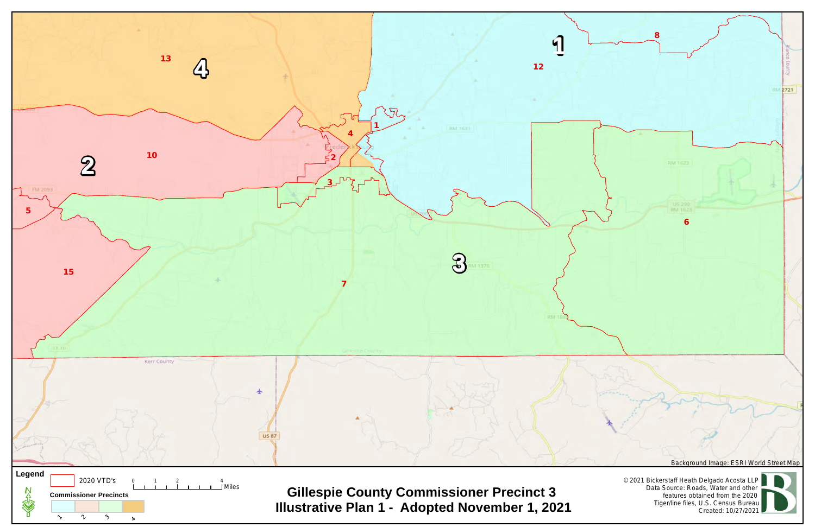**8**



**RM 2721** 

**6**

RM 1623

© 2021 Bickerstaff Heath Delgado Acosta LLP Data Source: Roads, Water and other features obtained from the 2020 Tiger/line files, U.S. Census Bureau Created: 10/27/2021